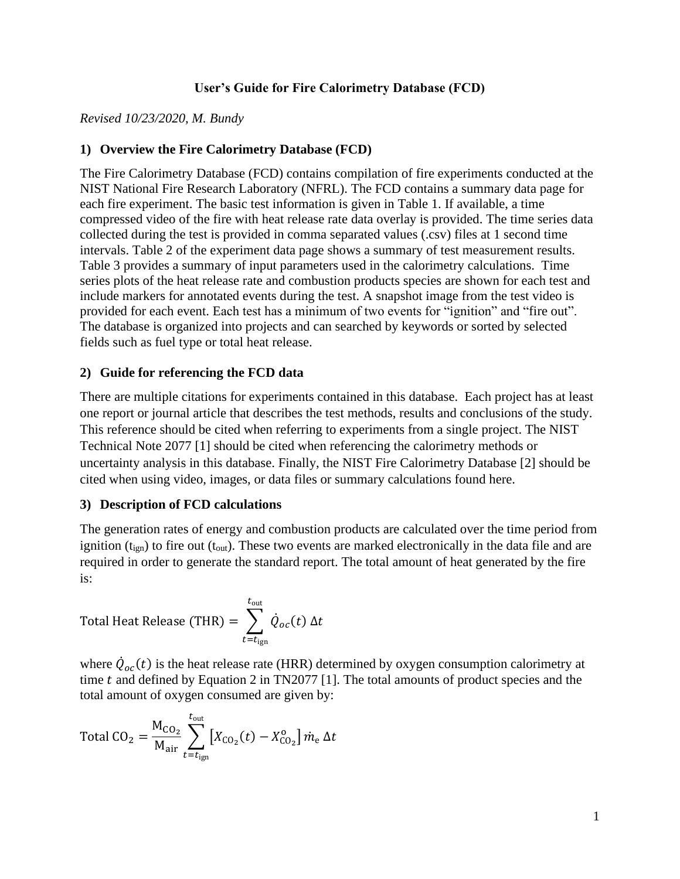# **User's Guide for Fire Calorimetry Database (FCD)**

### *Revised 10/23/2020, M. Bundy*

# **1) Overview the Fire Calorimetry Database (FCD)**

The Fire Calorimetry Database (FCD) contains compilation of fire experiments conducted at the NIST National Fire Research Laboratory (NFRL). The FCD contains a summary data page for each fire experiment. The basic test information is given in Table 1. If available, a time compressed video of the fire with heat release rate data overlay is provided. The time series data collected during the test is provided in comma separated values (.csv) files at 1 second time intervals. Table 2 of the experiment data page shows a summary of test measurement results. Table 3 provides a summary of input parameters used in the calorimetry calculations. Time series plots of the heat release rate and combustion products species are shown for each test and include markers for annotated events during the test. A snapshot image from the test video is provided for each event. Each test has a minimum of two events for "ignition" and "fire out". The database is organized into projects and can searched by keywords or sorted by selected fields such as fuel type or total heat release.

### **2) Guide for referencing the FCD data**

There are multiple citations for experiments contained in this database. Each project has at least one report or journal article that describes the test methods, results and conclusions of the study. This reference should be cited when referring to experiments from a single project. The NIST Technical Note 2077 [1] should be cited when referencing the calorimetry methods or uncertainty analysis in this database. Finally, the NIST Fire Calorimetry Database [2] should be cited when using video, images, or data files or summary calculations found here.

### **3) Description of FCD calculations**

The generation rates of energy and combustion products are calculated over the time period from ignition  $(t<sub>ign</sub>)$  to fire out  $(t<sub>out</sub>)$ . These two events are marked electronically in the data file and are required in order to generate the standard report. The total amount of heat generated by the fire is:

Total Heat Release (THR) = 
$$
\sum_{t=t_{\text{ign}}}^{t_{\text{out}}} \dot{Q}_{oc}(t) \Delta t
$$

where  $\dot{Q}_{oc}(t)$  is the heat release rate (HRR) determined by oxygen consumption calorimetry at time  $t$  and defined by Equation 2 in TN2077 [1]. The total amounts of product species and the total amount of oxygen consumed are given by:

Total CO<sub>2</sub> = 
$$
\frac{M_{CO_2}}{M_{air}} \sum_{t=t_{ign}}^{t_{out}} [X_{CO_2}(t) - X_{CO_2}^o] \dot{m}_e \Delta t
$$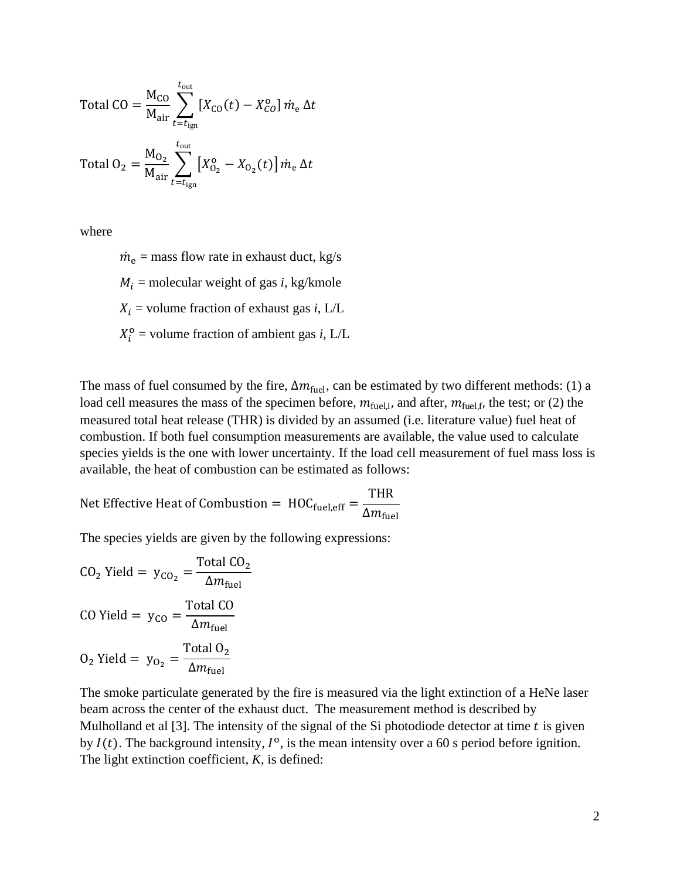Total CO = 
$$
\frac{M_{CO}}{M_{air}} \sum_{t=t_{ign}}^{t_{out}} [X_{CO}(t) - X_{CO}^0] \dot{m}_e \Delta t
$$
  
Total O<sub>2</sub> =  $\frac{M_{O_2}}{M_{air}} \sum_{t=t_{ign}}^{t_{out}} [X_{O_2}^0 - X_{O_2}(t)] \dot{m}_e \Delta t$ 

where

 $\dot{m}_e$  = mass flow rate in exhaust duct, kg/s  $M_i$  = molecular weight of gas *i*, kg/kmole  $X_i$  = volume fraction of exhaust gas *i*, L/L  $X_i^{\text{o}}$  = volume fraction of ambient gas *i*, L/L

The mass of fuel consumed by the fire,  $\Delta m_{\text{fuel}}$ , can be estimated by two different methods: (1) a load cell measures the mass of the specimen before,  $m_{\text{fuel},i}$ , and after,  $m_{\text{fuel},f}$ , the test; or (2) the measured total heat release (THR) is divided by an assumed (i.e. literature value) fuel heat of combustion. If both fuel consumption measurements are available, the value used to calculate species yields is the one with lower uncertainty. If the load cell measurement of fuel mass loss is available, the heat of combustion can be estimated as follows:

Net Effective Heat of Combustion =  $\text{HOC}_{\text{fuel,eff}} =$ THR  $\Delta m_{\rm fuel}$ 

The species yields are given by the following expressions:

$$
CO2 Yield = yCO2 = \frac{\text{Total } CO2}{\Delta m_{\text{fuel}}}
$$
  
CO Yield = y<sub>CO</sub> =  $\frac{\text{Total } CO}{\Delta m_{\text{fuel}}}$   

$$
O2 Yield = yO2 = \frac{\text{Total } O2}{\Delta m_{\text{fuel}}}
$$

The smoke particulate generated by the fire is measured via the light extinction of a HeNe laser beam across the center of the exhaust duct. The measurement method is described by Mulholland et al  $[3]$ . The intensity of the signal of the Si photodiode detector at time  $t$  is given by  $I(t)$ . The background intensity,  $I^{\circ}$ , is the mean intensity over a 60 s period before ignition. The light extinction coefficient, *K*, is defined: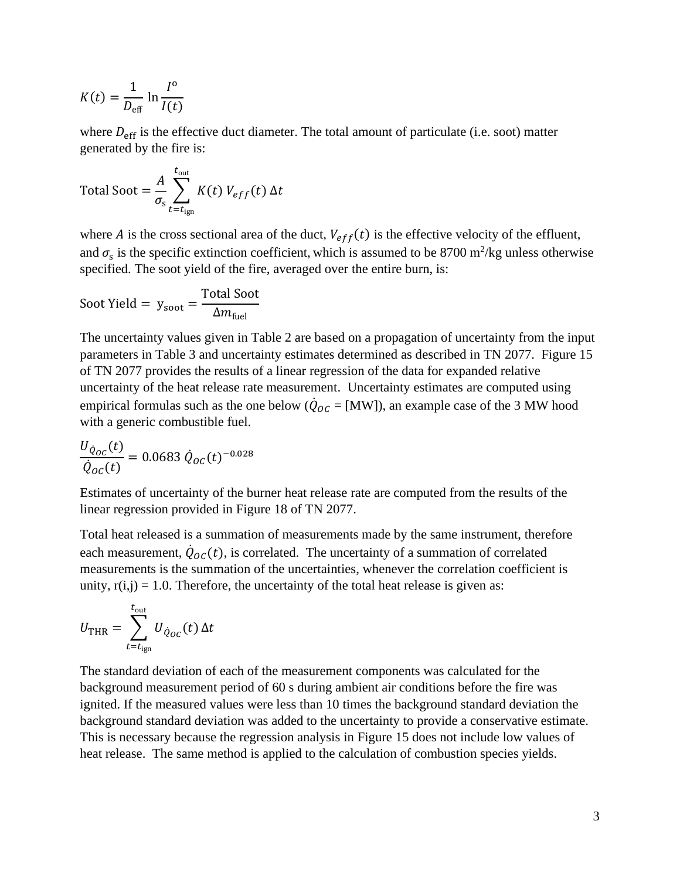$$
K(t) = \frac{1}{D_{\text{eff}}} \ln \frac{I^{\text{o}}}{I(t)}
$$

where  $D_{\text{eff}}$  is the effective duct diameter. The total amount of particulate (i.e. soot) matter generated by the fire is:

Total Soot = 
$$
\frac{A}{\sigma_s} \sum_{t=t_{ign}}^{t_{out}} K(t) V_{eff}(t) \Delta t
$$

where *A* is the cross sectional area of the duct,  $V_{eff}(t)$  is the effective velocity of the effluent, and  $\sigma_s$  is the specific extinction coefficient, which is assumed to be 8700 m<sup>2</sup>/kg unless otherwise specified. The soot yield of the fire, averaged over the entire burn, is:

$$
Soot Yield = y_{soot} = \frac{\text{Total Soot}}{\Delta m_{fuel}}
$$

The uncertainty values given in Table 2 are based on a propagation of uncertainty from the input parameters in Table 3 and uncertainty estimates determined as described in TN 2077. Figure 15 of TN 2077 provides the results of a linear regression of the data for expanded relative uncertainty of the heat release rate measurement. Uncertainty estimates are computed using empirical formulas such as the one below ( $\dot{Q}_{OC} =$  [MW]), an example case of the 3 MW hood with a generic combustible fuel.

$$
\frac{U_{\dot{Q}_{OC}}(t)}{\dot{Q}_{OC}(t)} = 0.0683 \,\dot{Q}_{OC}(t)^{-0.028}
$$

Estimates of uncertainty of the burner heat release rate are computed from the results of the linear regression provided in Figure 18 of TN 2077.

Total heat released is a summation of measurements made by the same instrument, therefore each measurement,  $\dot{Q}_{OC}(t)$ , is correlated. The uncertainty of a summation of correlated measurements is the summation of the uncertainties, whenever the correlation coefficient is unity,  $r(i,j) = 1.0$ . Therefore, the uncertainty of the total heat release is given as:

$$
U_{\text{THR}} = \sum_{t=t_{\text{ign}}}^{t_{\text{out}}} U_{\dot{Q}_{OC}}(t) \Delta t
$$

The standard deviation of each of the measurement components was calculated for the background measurement period of 60 s during ambient air conditions before the fire was ignited. If the measured values were less than 10 times the background standard deviation the background standard deviation was added to the uncertainty to provide a conservative estimate. This is necessary because the regression analysis in Figure 15 does not include low values of heat release. The same method is applied to the calculation of combustion species yields.